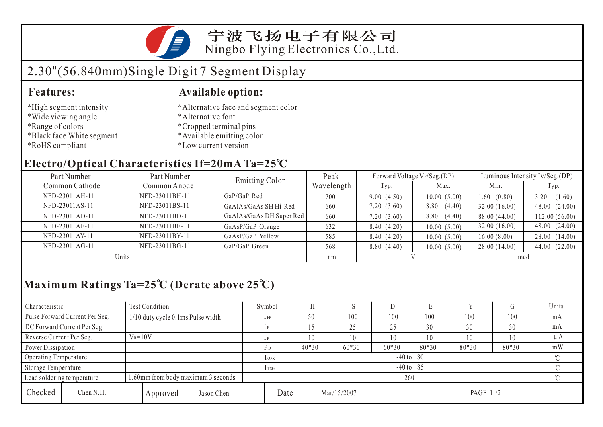

宁波飞扬电子有限公司 Ningbo Flying Electronics Co.,Ltd.

# 2.30"(56.840mm)Single Digit 7 Segment Display

#### **Features: Available option:**

- \*High segment intensity
- \*Wide viewing angle
- \*Range of colors
- \*Black face White segment
- \*RoHS compliant
- \*Alternative face and segment color
- \*Alternative font
- \*Cropped terminal pins
- \*Available emitting color
- \*Low current version

### **Electro/Optical Characteristics If=20mA Ta=25 C**

| Part Number    | Part Number    | <b>Emitting Color</b>    | Peak       | Forward Voltage VF/Seg.(DP) |                | Luminous Intensity Iv/Seg.(DP) |                |  |
|----------------|----------------|--------------------------|------------|-----------------------------|----------------|--------------------------------|----------------|--|
| Common Cathode | Common Anode   |                          | Wavelength | Typ.                        | Max.           | Min.                           | Typ.           |  |
| NFD-23011AH-11 | NFD-23011BH-11 | GaP/GaP Red              | 700        | 9.00(4.50)                  | 10.00(5.00)    | 1.60(0.80)                     | 3.20<br>(1.60) |  |
| NFD-23011AS-11 | NFD-23011BS-11 | GaAlAs/GaAs SH Hi-Red    | 660        | 7.20(3.60)                  | (4.40)<br>8.80 | 32.00(16.00)                   | 48.00 (24.00)  |  |
| NFD-23011AD-11 | NFD-23011BD-11 | GaAlAs/GaAs DH Super Red | 660        | 7.20(3.60)                  | (4.40)<br>8.80 | 88.00 (44.00)                  | 112.00(56.00)  |  |
| NFD-23011AE-11 | NFD-23011BE-11 | GaAsP/GaP Orange         | 632        | 8.40(4.20)                  | 10.00(5.00)    | 32.00(16.00)                   | 48.00(24.00)   |  |
| NFD-23011AY-11 | NFD-23011BY-11 | GaAsP/GaP Yellow         | 585        | 8.40 (4.20)                 | 10.00(5.00)    | 16.00(8.00)                    | 28.00 (14.00)  |  |
| NFD-23011AG-11 | NFD-23011BG-11 | GaP/GaP Green            | 568        | 8.80(4.40)                  | 10.00(5.00)    | 28.00 (14.00)                  | 44.00 (22.00)  |  |
| Units          |                |                          | nm         |                             |                | mcd                            |                |  |

## **Maximum Ratings Ta=25 C (Derate above 25 C)**

| Characteristic                                                   |                                | Test Condition                       |             | Symbol                   |                          |                          |         |         | L.    |       |        | Units   |
|------------------------------------------------------------------|--------------------------------|--------------------------------------|-------------|--------------------------|--------------------------|--------------------------|---------|---------|-------|-------|--------|---------|
|                                                                  | Pulse Forward Current Per Seg. | $1/10$ duty cycle 0.1 ms Pulse width |             | $1$ FP                   |                          | 50                       | 100     | 100     | 100   | 100   | 100    | mA      |
|                                                                  | DC Forward Current Per Seg.    |                                      |             |                          |                          |                          | 25      | 25      | 30    | 30    | 30     | mA      |
| Reverse Current Per Seg.                                         |                                | $V_R = 10V$                          |             | 1R                       |                          | 10                       | 10      | 10      | 10    | 10    | 10     | $\mu A$ |
| Power Dissipation                                                |                                |                                      |             | $P_D$                    |                          | $40*30$                  | $60*30$ | $60*30$ | 80*30 | 80*30 | 80*30  | mW      |
| Operating Temperature                                            |                                |                                      | <b>TOPR</b> |                          | $-40$ to $+80$<br>$\sim$ |                          |         |         |       |       |        |         |
| Storage Temperature                                              |                                | T <sub>rsG</sub>                     |             | $-40$ to $+85$<br>$\sim$ |                          |                          |         |         |       |       |        |         |
| 1.60mm from body maximum 3 seconds<br>Lead soldering temperature |                                |                                      |             |                          | 260                      |                          |         |         |       |       | $\sim$ |         |
| Checked                                                          | Chen N.H.                      | Approved                             | Jason Chen  |                          | Date                     | Mar/15/2007<br>PAGE 1 /2 |         |         |       |       |        |         |